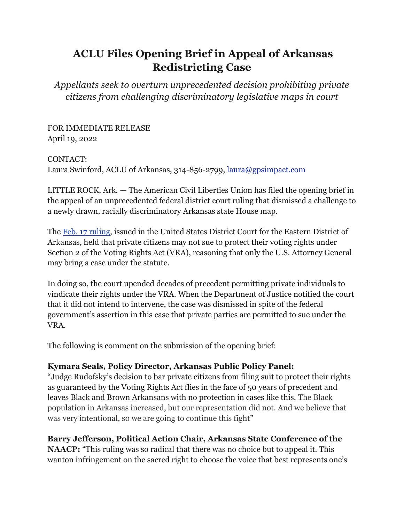## **ACLU Files Opening Brief in Appeal of Arkansas Redistricting Case**

*Appellants seek to overturn unprecedented decision prohibiting private citizens from challenging discriminatory legislative maps in court*

FOR IMMEDIATE RELEASE April 19, 2022

CONTACT:

Laura Swinford, ACLU of Arkansas, 314-856-2799, laura@gpsimpact.com

LITTLE ROCK, Ark. — The American Civil Liberties Union has filed the opening brief in the appeal of an unprecedented federal district court ruling that dismissed a challenge to a newly drawn, racially discriminatory Arkansas state House map.

Th[e](https://www.aclu.org/press-releases/aclu-comment-arkansas-redistricting-ruling) [Feb. 17 ruling,](https://www.aclu.org/press-releases/aclu-comment-arkansas-redistricting-ruling) issued in the United States District Court for the Eastern District of Arkansas, held that private citizens may not sue to protect their voting rights under Section 2 of the Voting Rights Act (VRA), reasoning that only the U.S. Attorney General may bring a case under the statute.

In doing so, the court upended decades of precedent permitting private individuals to vindicate their rights under the VRA. When the Department of Justice notified the court that it did not intend to intervene, the case was dismissed in spite of the federal government's assertion in this case that private parties are permitted to sue under the VRA.

The following is comment on the submission of the opening brief:

## **Kymara Seals, Policy Director, Arkansas Public Policy Panel:**

"Judge Rudofsky's decision to bar private citizens from filing suit to protect their rights as guaranteed by the Voting Rights Act flies in the face of 50 years of precedent and leaves Black and Brown Arkansans with no protection in cases like this. The Black population in Arkansas increased, but our representation did not. And we believe that was very intentional, so we are going to continue this fight"

## **Barry Jefferson, Political Action Chair, Arkansas State Conference of the**

**NAACP:** "This ruling was so radical that there was no choice but to appeal it. This wanton infringement on the sacred right to choose the voice that best represents one's